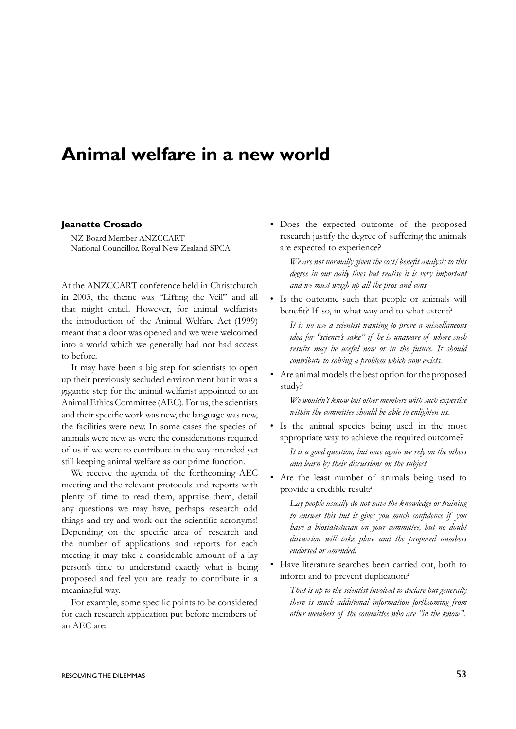## **Animal welfare in a new world**

## **Jeanette Crosado**

NZ Board Member ANZCCART National Councillor, Royal New Zealand SPCA

At the ANZCCART conference held in Christchurch in 2003, the theme was "Lifting the Veil" and all that might entail. However, for animal welfarists the introduction of the Animal Welfare Act (1999) meant that a door was opened and we were welcomed into a world which we generally had not had access to before.

It may have been a big step for scientists to open up their previously secluded environment but it was a gigantic step for the animal welfarist appointed to an Animal Ethics Committee (AEC). For us, the scientists and their specific work was new, the language was new, the facilities were new. In some cases the species of animals were new as were the considerations required of us if we were to contribute in the way intended yet still keeping animal welfare as our prime function.

We receive the agenda of the forthcoming AEC meeting and the relevant protocols and reports with plenty of time to read them, appraise them, detail any questions we may have, perhaps research odd things and try and work out the scientific acronyms! Depending on the specific area of research and the number of applications and reports for each meeting it may take a considerable amount of a lay person's time to understand exactly what is being proposed and feel you are ready to contribute in a meaningful way.

For example, some specific points to be considered for each research application put before members of an AEC are:

• Does the expected outcome of the proposed research justify the degree of suffering the animals are expected to experience?

*We are not normally given the cost/benefit analysis to this degree in our daily lives but realise it is very important and we must weigh up all the pros and cons.*

• Is the outcome such that people or animals will benefit? If so, in what way and to what extent?

*It is no use a scientist wanting to prove a miscellaneous idea for "science's sake" if he is unaware of where such results may be useful now or in the future. It should contribute to solving a problem which now exists.*

• Are animal models the best option for the proposed study?

*We wouldn't know but other members with such expertise within the committee should be able to enlighten us.* 

• Is the animal species being used in the most appropriate way to achieve the required outcome?

*It is a good question, but once again we rely on the others and learn by their discussions on the subject.*

• Are the least number of animals being used to provide a credible result?

*Lay people usually do not have the knowledge or training to answer this but it gives you much confidence if you have a biostatistician on your committee, but no doubt discussion will take place and the proposed numbers endorsed or amended.*

• Have literature searches been carried out, both to inform and to prevent duplication?

*That is up to the scientist involved to declare but generally there is much additional information forthcoming from other members of the committee who are "in the know".*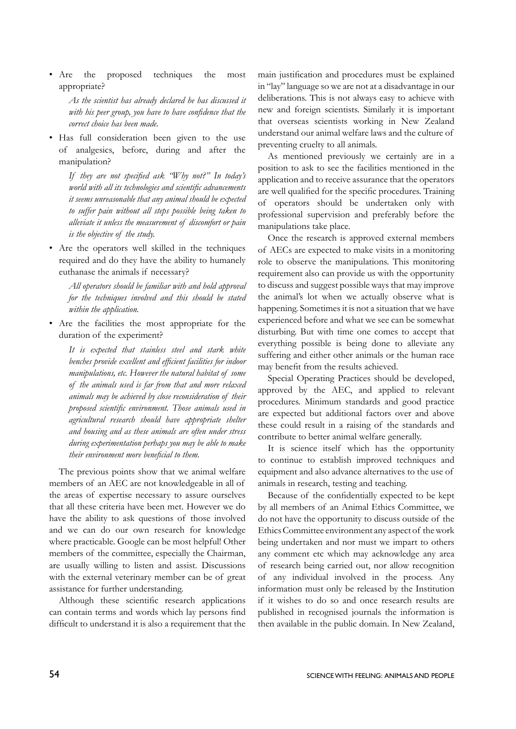• Are the proposed techniques the most appropriate?

> *As the scientist has already declared he has discussed it with his peer group, you have to have confidence that the correct choice has been made.*

• Has full consideration been given to the use of analgesics, before, during and after the manipulation?

> *If they are not specified ask "Why not?" In today's world with all its technologies and scientific advancements it seems unreasonable that any animal should be expected to suffer pain without all steps possible being taken to alleviate it unless the measurement of discomfort or pain is the objective of the study.*

• Are the operators well skilled in the techniques required and do they have the ability to humanely euthanase the animals if necessary?

*All operators should be familiar with and hold approval for the techniques involved and this should be stated within the application.*

• Are the facilities the most appropriate for the duration of the experiment?

*It is expected that stainless steel and stark white benches provide excellent and efficient facilities for indoor manipulations, etc. However the natural habitat of some of the animals used is far from that and more relaxed animals may be achieved by close reconsideration of their proposed scientific environment. Those animals used in agricultural research should have appropriate shelter and housing and as these animals are often under stress during experimentation perhaps you may be able to make their environment more beneficial to them.*

The previous points show that we animal welfare members of an AEC are not knowledgeable in all of the areas of expertise necessary to assure ourselves that all these criteria have been met. However we do have the ability to ask questions of those involved and we can do our own research for knowledge where practicable. Google can be most helpful! Other members of the committee, especially the Chairman, are usually willing to listen and assist. Discussions with the external veterinary member can be of great assistance for further understanding.

Although these scientific research applications can contain terms and words which lay persons find difficult to understand it is also a requirement that the main justification and procedures must be explained in "lay" language so we are not at a disadvantage in our deliberations. This is not always easy to achieve with new and foreign scientists. Similarly it is important that overseas scientists working in New Zealand understand our animal welfare laws and the culture of preventing cruelty to all animals.

As mentioned previously we certainly are in a position to ask to see the facilities mentioned in the application and to receive assurance that the operators are well qualified for the specific procedures. Training of operators should be undertaken only with professional supervision and preferably before the manipulations take place.

Once the research is approved external members of AECs are expected to make visits in a monitoring role to observe the manipulations. This monitoring requirement also can provide us with the opportunity to discuss and suggest possible ways that may improve the animal's lot when we actually observe what is happening. Sometimes it is not a situation that we have experienced before and what we see can be somewhat disturbing. But with time one comes to accept that everything possible is being done to alleviate any suffering and either other animals or the human race may benefit from the results achieved.

Special Operating Practices should be developed, approved by the AEC, and applied to relevant procedures. Minimum standards and good practice are expected but additional factors over and above these could result in a raising of the standards and contribute to better animal welfare generally.

It is science itself which has the opportunity to continue to establish improved techniques and equipment and also advance alternatives to the use of animals in research, testing and teaching.

Because of the confidentially expected to be kept by all members of an Animal Ethics Committee, we do not have the opportunity to discuss outside of the Ethics Committee environment any aspect of the work being undertaken and nor must we impart to others any comment etc which may acknowledge any area of research being carried out, nor allow recognition of any individual involved in the process. Any information must only be released by the Institution if it wishes to do so and once research results are published in recognised journals the information is then available in the public domain. In New Zealand,